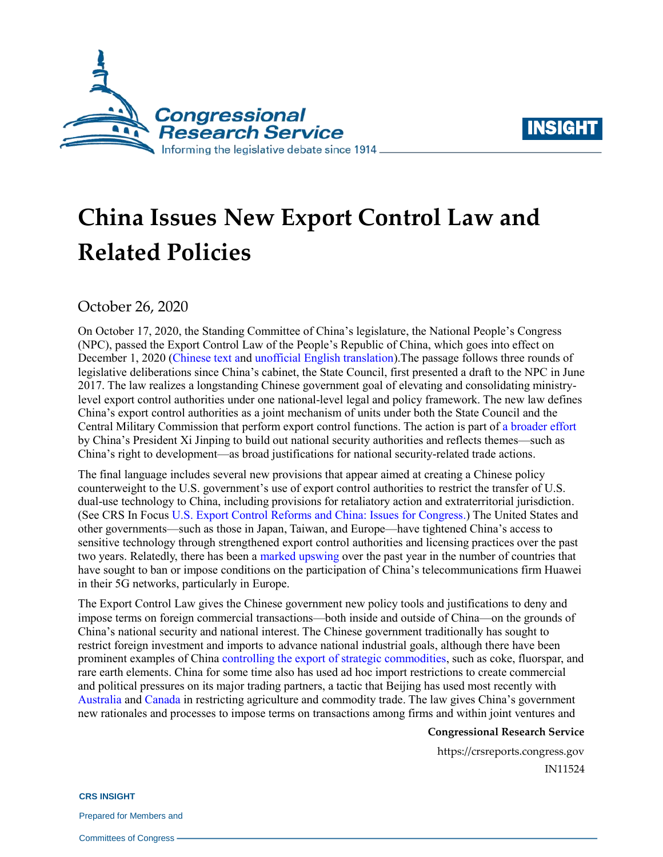



# **China Issues New Export Control Law and Related Policies**

October 26, 2020

On October 17, 2020, the Standing Committee of China's legislature, the National People's Congress (NPC), passed the Export Control Law of the People's Republic of China, which goes into effect on December 1, 2020 [\(Chinese text](http://www.xinhuanet.com/2020-10/18/c_1126624518.htm) and [unofficial English translation\)](https://www.cov.com/-/media/files/corporate/publications/file_repository/prc_export_control_law_2020_10_cn_en_covington.pdf).The passage follows three rounds of legislative deliberations since China's cabinet, the State Council, first presented a draft to the NPC in June 2017. The law realizes a longstanding Chinese government goal of elevating and consolidating ministrylevel export control authorities under one national-level legal and policy framework. The new law defines China's export control authorities as a joint mechanism of units under both the State Council and the Central Military Commission that perform export control functions. The action is part of a [broader effort](https://www.lawfareblog.com/beijings-new-national-intelligence-law-defense-offense) by China's President Xi Jinping to build out national security authorities and reflects themes—such as China's right to development—as broad justifications for national security-related trade actions.

The final language includes several new provisions that appear aimed at creating a Chinese policy counterweight to the U.S. government's use of export control authorities to restrict the transfer of U.S. dual-use technology to China, including provisions for retaliatory action and extraterritorial jurisdiction. (See CRS In Focus [U.S. Export Control Reforms and China: Issues for Congress.](https://crsreports.congress.gov/product/pdf/IF/IF11627)) The United States and other governments—such as those in Japan, Taiwan, and Europe—have tightened China's access to sensitive technology through strengthened export control authorities and licensing practices over the past two years. Relatedly, there has been a marked [upswing](https://www.lightreading.com/5g/europe-is-showing-huawei-exit/d/d-id/763814) over the past year in the number of countries that have sought to ban or impose conditions on the participation of China's telecommunications firm Huawei in their 5G networks, particularly in Europe.

The Export Control Law gives the Chinese government new policy tools and justifications to deny and impose terms on foreign commercial transactions—both inside and outside of China—on the grounds of China's national security and national interest. The Chinese government traditionally has sought to restrict foreign investment and imports to advance national industrial goals, although there have been prominent examples of China [controlling the export of strategic commodities,](https://ustr.gov/about-us/policy-offices/press-office/fact-sheets/2009/june/wto-case-challenging-chinas-export-restraints-raw-materi#:~:text=China) such as coke, fluorspar, and rare earth elements. China for some time also has used ad hoc import restrictions to create commercial and political pressures on its major trading partners, a tactic that Beijing has used most recently with [Australia](https://www.reuters.com/article/us-australia-barley-china/australia-appeals-chinas-barley-import-tariff-as-trade-tensions-worsen-idUSKCN25E0K2) an[d Canada](https://www.washingtonpost.com/world/2019/03/27/china-has-put-canadian-canola-oil-middle-wider-geopolitical-dispute/) in restricting agriculture and commodity trade. The law gives China's government new rationales and processes to impose terms on transactions among firms and within joint ventures and

### **Congressional Research Service**

https://crsreports.congress.gov IN11524

**CRS INSIGHT**

Prepared for Members and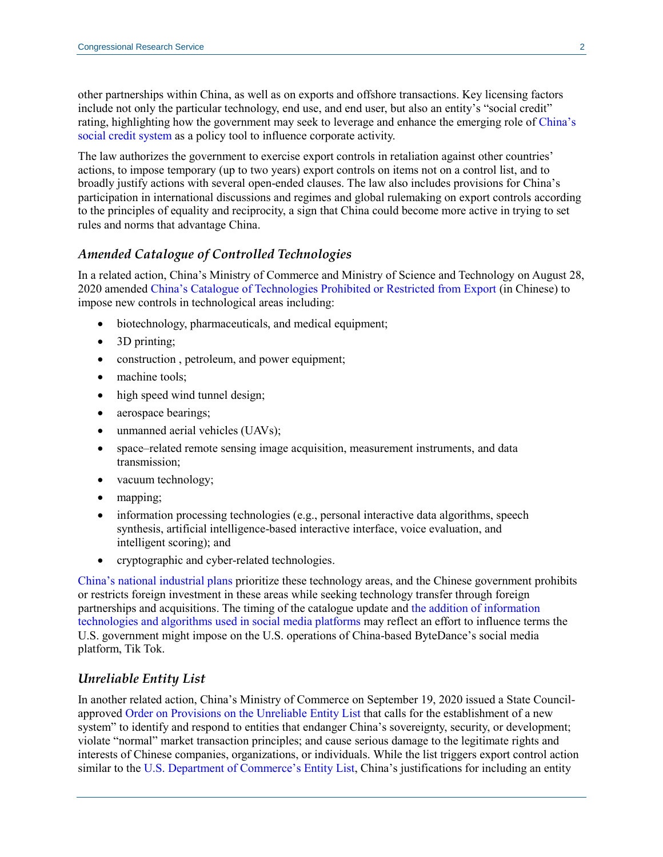other partnerships within China, as well as on exports and offshore transactions. Key licensing factors include not only the particular technology, end use, and end user, but also an entity's "social credit" rating, highlighting how the government may seek to leverage and enhance the emerging role o[f China's](https://crsreports.congress.gov/product/pdf/IF/IF11342)  [social credit system](https://crsreports.congress.gov/product/pdf/IF/IF11342) as a policy tool to influence corporate activity.

The law authorizes the government to exercise export controls in retaliation against other countries' actions, to impose temporary (up to two years) export controls on items not on a control list, and to broadly justify actions with several open-ended clauses. The law also includes provisions for China's participation in international discussions and regimes and global rulemaking on export controls according to the principles of equality and reciprocity, a sign that China could become more active in trying to set rules and norms that advantage China.

## *Amended Catalogue of Controlled Technologies*

In a related action, China's Ministry of Commerce and Ministry of Science and Technology on August 28, 2020 amended [China's Catalogue of Technologies Prohibited or Restricted from Export](http://www.gov.cn/zhengce/zhengceku/2020-08/29/5538299/files/135c5cdd6baa46a986ac5e51a1a49ac3.pdf) (in Chinese) to impose new controls in technological areas including:

- biotechnology, pharmaceuticals, and medical equipment;
- 3D printing;
- construction , petroleum, and power equipment;
- machine tools;
- high speed wind tunnel design;
- aerospace bearings;
- unmanned aerial vehicles (UAVs);
- space–related remote sensing image acquisition, measurement instruments, and data transmission;
- vacuum technology;
- mapping;
- information processing technologies (e.g., personal interactive data algorithms, speech synthesis, artificial intelligence-based interactive interface, voice evaluation, and intelligent scoring); and
- cryptographic and cyber-related technologies.

[China's national industrial plans](https://crsreports.congress.gov/product/pdf/IF/IF10964) prioritize these technology areas, and the Chinese government prohibits or restricts foreign investment in these areas while seeking technology transfer through foreign partnerships and acquisitions. The timing of the catalogue update and [the addition of information](https://www.reuters.com/article/us-usa-tiktok-china/chinas-new-tech-export-controls-could-give-beijing-a-say-in-tiktok-sale-idUSKBN25Q05Q)  [technologies and algorithms used in social media platforms](https://www.reuters.com/article/us-usa-tiktok-china/chinas-new-tech-export-controls-could-give-beijing-a-say-in-tiktok-sale-idUSKBN25Q05Q) may reflect an effort to influence terms the U.S. government might impose on the U.S. operations of China-based ByteDance's social media platform, Tik Tok.

## *Unreliable Entity List*

In another related action, China's Ministry of Commerce on September 19, 2020 issued a State Councilapprove[d Order on Provisions on the Unreliable Entity List](http://english.mofcom.gov.cn/article/policyrelease/questions/202009/20200903002580.shtml) that calls for the establishment of a new system" to identify and respond to entities that endanger China's sovereignty, security, or development; violate "normal" market transaction principles; and cause serious damage to the legitimate rights and interests of Chinese companies, organizations, or individuals. While the list triggers export control action similar to the [U.S. Department of Commerce's Entity List,](https://www.bis.doc.gov/index.php/policy-guidance/lists-of-parties-of-concern/entity-list) China's justifications for including an entity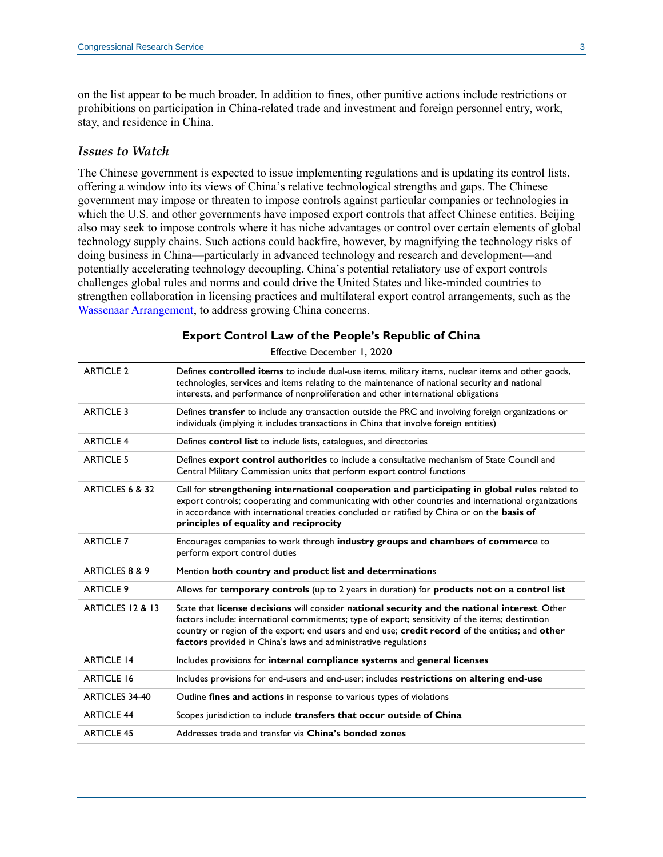on the list appear to be much broader. In addition to fines, other punitive actions include restrictions or prohibitions on participation in China-related trade and investment and foreign personnel entry, work, stay, and residence in China.

#### *Issues to Watch*

The Chinese government is expected to issue implementing regulations and is updating its control lists, offering a window into its views of China's relative technological strengths and gaps. The Chinese government may impose or threaten to impose controls against particular companies or technologies in which the U.S. and other governments have imposed export controls that affect Chinese entities. Beijing also may seek to impose controls where it has niche advantages or control over certain elements of global technology supply chains. Such actions could backfire, however, by magnifying the technology risks of doing business in China—particularly in advanced technology and research and development—and potentially accelerating technology decoupling. China's potential retaliatory use of export controls challenges global rules and norms and could drive the United States and like-minded countries to strengthen collaboration in licensing practices and multilateral export control arrangements, such as the [Wassenaar Arrangement,](https://crsreports.congress.gov/product/pdf/R/R41916) to address growing China concerns.

| <b>ARTICLE 2</b>      | Defines controlled items to include dual-use items, military items, nuclear items and other goods,<br>technologies, services and items relating to the maintenance of national security and national<br>interests, and performance of nonproliferation and other international obligations                                                                                |
|-----------------------|---------------------------------------------------------------------------------------------------------------------------------------------------------------------------------------------------------------------------------------------------------------------------------------------------------------------------------------------------------------------------|
| <b>ARTICLE 3</b>      | Defines transfer to include any transaction outside the PRC and involving foreign organizations or<br>individuals (implying it includes transactions in China that involve foreign entities)                                                                                                                                                                              |
| <b>ARTICLE 4</b>      | Defines control list to include lists, catalogues, and directories                                                                                                                                                                                                                                                                                                        |
| <b>ARTICLE 5</b>      | Defines export control authorities to include a consultative mechanism of State Council and<br>Central Military Commission units that perform export control functions                                                                                                                                                                                                    |
| ARTICLES 6 & 32       | Call for strengthening international cooperation and participating in global rules related to<br>export controls; cooperating and communicating with other countries and international organizations<br>in accordance with international treaties concluded or ratified by China or on the basis of<br>principles of equality and reciprocity                             |
| <b>ARTICLE 7</b>      | Encourages companies to work through industry groups and chambers of commerce to<br>perform export control duties                                                                                                                                                                                                                                                         |
| ARTICLES 8 & 9        | Mention both country and product list and determinations                                                                                                                                                                                                                                                                                                                  |
| <b>ARTICLE 9</b>      | Allows for temporary controls (up to 2 years in duration) for products not on a control list                                                                                                                                                                                                                                                                              |
| ARTICLES 12 & 13      | State that license decisions will consider national security and the national interest. Other<br>factors include: international commitments; type of export; sensitivity of the items; destination<br>country or region of the export; end users and end use; credit record of the entities; and other<br>factors provided in China's laws and administrative regulations |
| <b>ARTICLE 14</b>     | Includes provisions for internal compliance systems and general licenses                                                                                                                                                                                                                                                                                                  |
| <b>ARTICLE 16</b>     | Includes provisions for end-users and end-user; includes restrictions on altering end-use                                                                                                                                                                                                                                                                                 |
| <b>ARTICLES 34-40</b> | Outline fines and actions in response to various types of violations                                                                                                                                                                                                                                                                                                      |
| <b>ARTICLE 44</b>     | Scopes jurisdiction to include transfers that occur outside of China                                                                                                                                                                                                                                                                                                      |
| <b>ARTICLE 45</b>     | Addresses trade and transfer via China's bonded zones                                                                                                                                                                                                                                                                                                                     |

**Export Control Law of the People's Republic of China**

Effective December 1, 2020